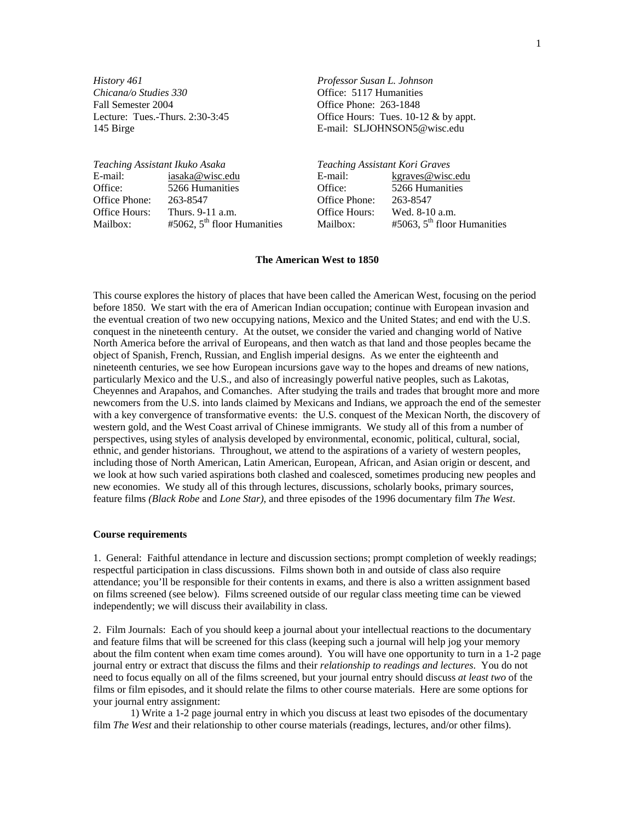*History 461 Professor Susan L. Johnson Chicana/o Studies 330* Office: 5117 Humanities Fall Semester 2004 Office Phone: 263-1848

Lecture: Tues.-Thurs. 2:30-3:45 Office Hours: Tues. 10-12 & by appt. 145 Birge E-mail: SLJOHNSON5@wisc.edu

| Teaching Assistant Ikuko Asaka |                                  | Teaching Assistant Kori Graves |                                  |
|--------------------------------|----------------------------------|--------------------------------|----------------------------------|
| E-mail:                        | iasaka@wisc.edu                  | E-mail:                        | <u>kgraves@wisc.edu</u>          |
| Office:                        | 5266 Humanities                  | Office:                        | 5266 Humanities                  |
| Office Phone:                  | 263-8547                         | Office Phone:                  | 263-8547                         |
| Office Hours:                  | Thurs. 9-11 a.m.                 | Office Hours:                  | Wed. 8-10 a.m.                   |
| Mailbox:                       | $#5062$ , $5th$ floor Humanities | Mailbox:                       | $#5063$ , $5th$ floor Humanities |

#### **The American West to 1850**

This course explores the history of places that have been called the American West, focusing on the period before 1850. We start with the era of American Indian occupation; continue with European invasion and the eventual creation of two new occupying nations, Mexico and the United States; and end with the U.S. conquest in the nineteenth century. At the outset, we consider the varied and changing world of Native North America before the arrival of Europeans, and then watch as that land and those peoples became the object of Spanish, French, Russian, and English imperial designs. As we enter the eighteenth and nineteenth centuries, we see how European incursions gave way to the hopes and dreams of new nations, particularly Mexico and the U.S., and also of increasingly powerful native peoples, such as Lakotas, Cheyennes and Arapahos, and Comanches. After studying the trails and trades that brought more and more newcomers from the U.S. into lands claimed by Mexicans and Indians, we approach the end of the semester with a key convergence of transformative events: the U.S. conquest of the Mexican North, the discovery of western gold, and the West Coast arrival of Chinese immigrants. We study all of this from a number of perspectives, using styles of analysis developed by environmental, economic, political, cultural, social, ethnic, and gender historians. Throughout, we attend to the aspirations of a variety of western peoples, including those of North American, Latin American, European, African, and Asian origin or descent, and we look at how such varied aspirations both clashed and coalesced, sometimes producing new peoples and new economies. We study all of this through lectures, discussions, scholarly books, primary sources, feature films *(Black Robe* and *Lone Star)*, and three episodes of the 1996 documentary film *The West*.

### **Course requirements**

1. General: Faithful attendance in lecture and discussion sections; prompt completion of weekly readings; respectful participation in class discussions. Films shown both in and outside of class also require attendance; you'll be responsible for their contents in exams, and there is also a written assignment based on films screened (see below). Films screened outside of our regular class meeting time can be viewed independently; we will discuss their availability in class.

2. Film Journals: Each of you should keep a journal about your intellectual reactions to the documentary and feature films that will be screened for this class (keeping such a journal will help jog your memory about the film content when exam time comes around). You will have one opportunity to turn in a 1-2 page journal entry or extract that discuss the films and their *relationship to readings and lectures*. You do not need to focus equally on all of the films screened, but your journal entry should discuss *at least two* of the films or film episodes, and it should relate the films to other course materials. Here are some options for your journal entry assignment:

1) Write a 1-2 page journal entry in which you discuss at least two episodes of the documentary film *The West* and their relationship to other course materials (readings, lectures, and/or other films).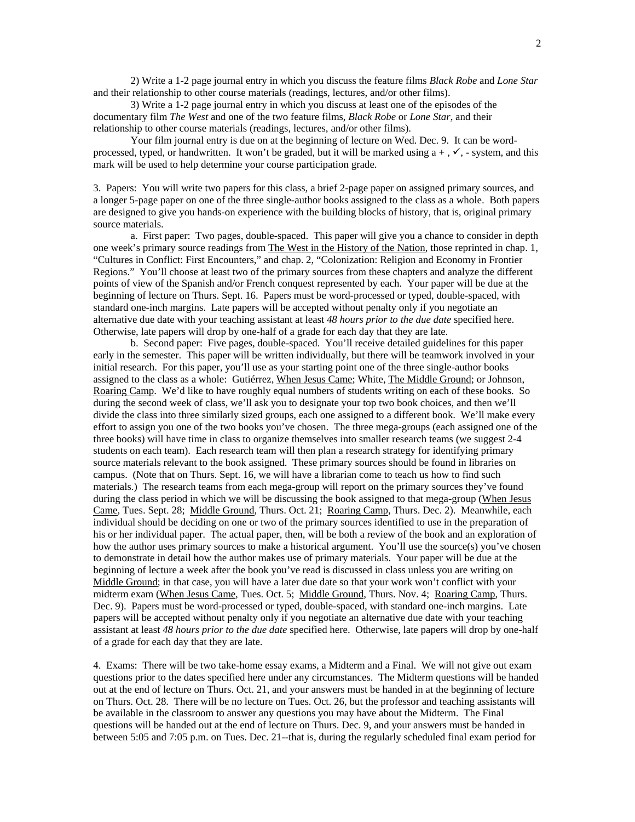2) Write a 1-2 page journal entry in which you discuss the feature films *Black Robe* and *Lone Star*  and their relationship to other course materials (readings, lectures, and/or other films).

3) Write a 1-2 page journal entry in which you discuss at least one of the episodes of the documentary film *The West* and one of the two feature films, *Black Robe* or *Lone Star,* and their relationship to other course materials (readings, lectures, and/or other films).

Your film journal entry is due on at the beginning of lecture on Wed. Dec. 9.It can be wordprocessed, typed, or handwritten. It won't be graded, but it will be marked using  $a +$ ,  $\checkmark$ , - system, and this mark will be used to help determine your course participation grade.

3. Papers: You will write two papers for this class, a brief 2-page paper on assigned primary sources, and a longer 5-page paper on one of the three single-author books assigned to the class as a whole. Both papers are designed to give you hands-on experience with the building blocks of history, that is, original primary source materials.

a. First paper: Two pages, double-spaced. This paper will give you a chance to consider in depth one week's primary source readings from The West in the History of the Nation, those reprinted in chap. 1, "Cultures in Conflict: First Encounters," and chap. 2, "Colonization: Religion and Economy in Frontier Regions." You'll choose at least two of the primary sources from these chapters and analyze the different points of view of the Spanish and/or French conquest represented by each. Your paper will be due at the beginning of lecture on Thurs. Sept. 16.Papers must be word-processed or typed, double-spaced, with standard one-inch margins. Late papers will be accepted without penalty only if you negotiate an alternative due date with your teaching assistant at least *48 hours prior to the due date* specified here. Otherwise, late papers will drop by one-half of a grade for each day that they are late.

b. Second paper: Five pages, double-spaced. You'll receive detailed guidelines for this paper early in the semester. This paper will be written individually, but there will be teamwork involved in your initial research. For this paper, you'll use as your starting point one of the three single-author books assigned to the class as a whole: Gutiérrez, When Jesus Came; White, The Middle Ground; or Johnson, Roaring Camp. We'd like to have roughly equal numbers of students writing on each of these books. So during the second week of class, we'll ask you to designate your top two book choices, and then we'll divide the class into three similarly sized groups, each one assigned to a different book. We'll make every effort to assign you one of the two books you've chosen. The three mega-groups (each assigned one of the three books) will have time in class to organize themselves into smaller research teams (we suggest 2-4 students on each team). Each research team will then plan a research strategy for identifying primary source materials relevant to the book assigned. These primary sources should be found in libraries on campus. (Note that on Thurs. Sept. 16, we will have a librarian come to teach us how to find such materials.) The research teams from each mega-group will report on the primary sources they've found during the class period in which we will be discussing the book assigned to that mega-group (When Jesus Came, Tues. Sept. 28; Middle Ground, Thurs. Oct. 21; Roaring Camp, Thurs. Dec. 2). Meanwhile, each individual should be deciding on one or two of the primary sources identified to use in the preparation of his or her individual paper. The actual paper, then, will be both a review of the book and an exploration of how the author uses primary sources to make a historical argument. You'll use the source(s) you've chosen to demonstrate in detail how the author makes use of primary materials. Your paper will be due at the beginning of lecture a week after the book you've read is discussed in class unless you are writing on Middle Ground; in that case, you will have a later due date so that your work won't conflict with your midterm exam (When Jesus Came, Tues. Oct. 5; Middle Ground, Thurs. Nov. 4; Roaring Camp, Thurs. Dec. 9). Papers must be word-processed or typed, double-spaced, with standard one-inch margins. Late papers will be accepted without penalty only if you negotiate an alternative due date with your teaching assistant at least *48 hours prior to the due date* specified here. Otherwise, late papers will drop by one-half of a grade for each day that they are late.

4. Exams: There will be two take-home essay exams, a Midterm and a Final. We will not give out exam questions prior to the dates specified here under any circumstances. The Midterm questions will be handed out at the end of lecture on Thurs. Oct. 21, and your answers must be handed in at the beginning of lecture on Thurs. Oct. 28. There will be no lecture on Tues. Oct. 26, but the professor and teaching assistants will be available in the classroom to answer any questions you may have about the Midterm. The Final questions will be handed out at the end of lecture on Thurs. Dec. 9, and your answers must be handed in between 5:05 and 7:05 p.m. on Tues. Dec. 21--that is, during the regularly scheduled final exam period for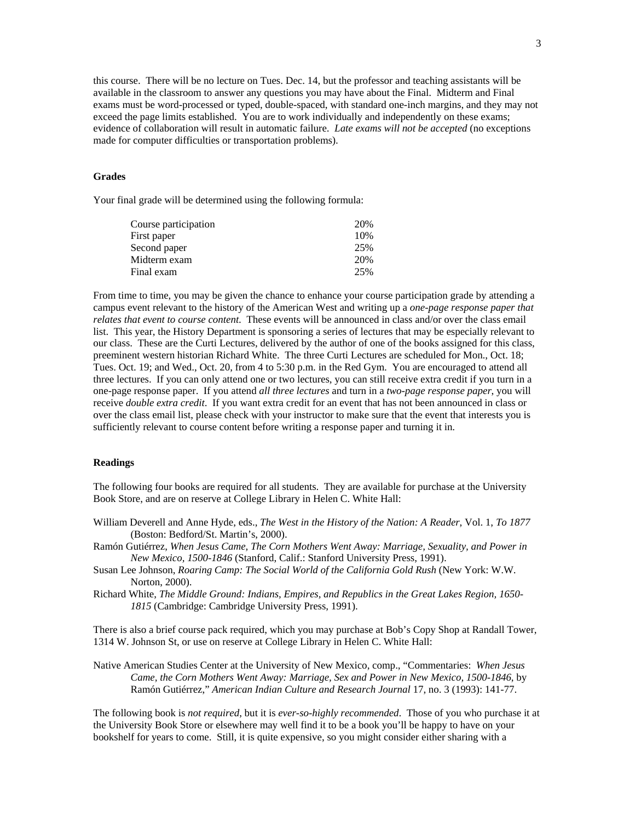this course. There will be no lecture on Tues. Dec. 14, but the professor and teaching assistants will be available in the classroom to answer any questions you may have about the Final. Midterm and Final exams must be word-processed or typed, double-spaced, with standard one-inch margins, and they may not exceed the page limits established. You are to work individually and independently on these exams; evidence of collaboration will result in automatic failure. *Late exams will not be accepted* (no exceptions made for computer difficulties or transportation problems).

## **Grades**

Your final grade will be determined using the following formula:

| Course participation | 20% |
|----------------------|-----|
| First paper          | 10% |
| Second paper         | 25% |
| Midterm exam         | 20% |
| Final exam           | 25% |
|                      |     |

From time to time, you may be given the chance to enhance your course participation grade by attending a campus event relevant to the history of the American West and writing up a *one-page response paper that relates that event to course content*. These events will be announced in class and/or over the class email list. This year, the History Department is sponsoring a series of lectures that may be especially relevant to our class. These are the Curti Lectures, delivered by the author of one of the books assigned for this class, preeminent western historian Richard White. The three Curti Lectures are scheduled for Mon., Oct. 18; Tues. Oct. 19; and Wed., Oct. 20, from 4 to 5:30 p.m. in the Red Gym. You are encouraged to attend all three lectures. If you can only attend one or two lectures, you can still receive extra credit if you turn in a one-page response paper. If you attend *all three lectures* and turn in a *two-page response paper*, you will receive *double extra credit*. If you want extra credit for an event that has not been announced in class or over the class email list, please check with your instructor to make sure that the event that interests you is sufficiently relevant to course content before writing a response paper and turning it in.

## **Readings**

The following four books are required for all students. They are available for purchase at the University Book Store, and are on reserve at College Library in Helen C. White Hall:

William Deverell and Anne Hyde, eds., *The West in the History of the Nation: A Reader*, Vol. 1, *To 1877* (Boston: Bedford/St. Martin's, 2000).

Ramón Gutiérrez, *When Jesus Came, The Corn Mothers Went Away: Marriage, Sexuality, and Power in New Mexico, 1500-1846* (Stanford, Calif.: Stanford University Press, 1991).

- Susan Lee Johnson, *Roaring Camp: The Social World of the California Gold Rush* (New York: W.W. Norton, 2000).
- Richard White, *The Middle Ground: Indians, Empires, and Republics in the Great Lakes Region, 1650- 1815* (Cambridge: Cambridge University Press, 1991).

There is also a brief course pack required, which you may purchase at Bob's Copy Shop at Randall Tower, 1314 W. Johnson St, or use on reserve at College Library in Helen C. White Hall:

Native American Studies Center at the University of New Mexico, comp., "Commentaries: *When Jesus Came, the Corn Mothers Went Away: Marriage, Sex and Power in New Mexico, 1500-1846*, by Ramón Gutiérrez," *American Indian Culture and Research Journal* 17, no. 3 (1993): 141-77.

The following book is *not required*, but it is *ever-so-highly recommended*. Those of you who purchase it at the University Book Store or elsewhere may well find it to be a book you'll be happy to have on your bookshelf for years to come. Still, it is quite expensive, so you might consider either sharing with a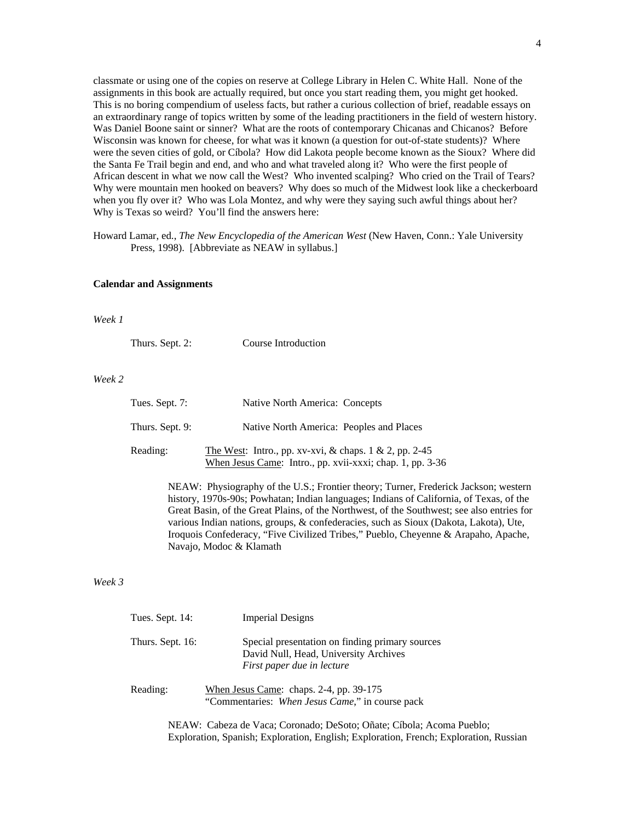classmate or using one of the copies on reserve at College Library in Helen C. White Hall. None of the assignments in this book are actually required, but once you start reading them, you might get hooked. This is no boring compendium of useless facts, but rather a curious collection of brief, readable essays on an extraordinary range of topics written by some of the leading practitioners in the field of western history. Was Daniel Boone saint or sinner? What are the roots of contemporary Chicanas and Chicanos? Before Wisconsin was known for cheese, for what was it known (a question for out-of-state students)? Where were the seven cities of gold, or Cíbola? How did Lakota people become known as the Sioux? Where did the Santa Fe Trail begin and end, and who and what traveled along it? Who were the first people of African descent in what we now call the West? Who invented scalping? Who cried on the Trail of Tears? Why were mountain men hooked on beavers? Why does so much of the Midwest look like a checkerboard when you fly over it? Who was Lola Montez, and why were they saying such awful things about her? Why is Texas so weird? You'll find the answers here:

Howard Lamar, ed., *The New Encyclopedia of the American West* (New Haven, Conn.: Yale University Press, 1998). [Abbreviate as NEAW in syllabus.]

#### **Calendar and Assignments**

#### *Week 1*

| Thurs. Sept. 2: | Course Introduction |
|-----------------|---------------------|
|-----------------|---------------------|

## *Week 2*

| Tues. Sept. 7:  | Native North America: Concepts                                                                                          |
|-----------------|-------------------------------------------------------------------------------------------------------------------------|
| Thurs. Sept. 9: | Native North America: Peoples and Places                                                                                |
| Reading:        | The West: Intro., pp. xv-xvi, & chaps. $1 \& 2$ , pp. 2-45<br>When Jesus Came: Intro., pp. xvii-xxxi; chap. 1, pp. 3-36 |

NEAW: Physiography of the U.S.; Frontier theory; Turner, Frederick Jackson; western history, 1970s-90s; Powhatan; Indian languages; Indians of California, of Texas, of the Great Basin, of the Great Plains, of the Northwest, of the Southwest; see also entries for various Indian nations, groups, & confederacies, such as Sioux (Dakota, Lakota), Ute, Iroquois Confederacy, "Five Civilized Tribes," Pueblo, Cheyenne & Arapaho, Apache, Navajo, Modoc & Klamath

## *Week 3*

| Tues. Sept. 14:  | <b>Imperial Designs</b>                                                                                                                                                                                                                                                                                                                                        |
|------------------|----------------------------------------------------------------------------------------------------------------------------------------------------------------------------------------------------------------------------------------------------------------------------------------------------------------------------------------------------------------|
| Thurs. Sept. 16: | Special presentation on finding primary sources<br>David Null, Head, University Archives<br>First paper due in lecture                                                                                                                                                                                                                                         |
| Reading:         | When Jesus Came: chaps. 2-4, pp. 39-175<br>"Commentaries: When Jesus Came," in course pack                                                                                                                                                                                                                                                                     |
|                  | $\mathbf{M} \mathbf{D} \mathbf{A} \mathbf{W}$ , $\mathbf{C} \mathbf{A}$ , $\mathbf{C} \mathbf{A}$ , $\mathbf{V}$ , $\mathbf{C}$ , $\mathbf{C}$ , $\mathbf{A}$ , $\mathbf{D} \mathbf{A}$ , $\mathbf{C} \mathbf{A}$ , $\mathbf{C} \mathbf{A}$ , $\mathbf{A}$ , $\mathbf{A}$ , $\mathbf{A}$ , $\mathbf{D}$ , $\mathbf{D}$ , $\mathbf{A}$ , $\mathbf{I}$ , $\math$ |

NEAW: Cabeza de Vaca; Coronado; DeSoto; Oñate; Cíbola; Acoma Pueblo; Exploration, Spanish; Exploration, English; Exploration, French; Exploration, Russian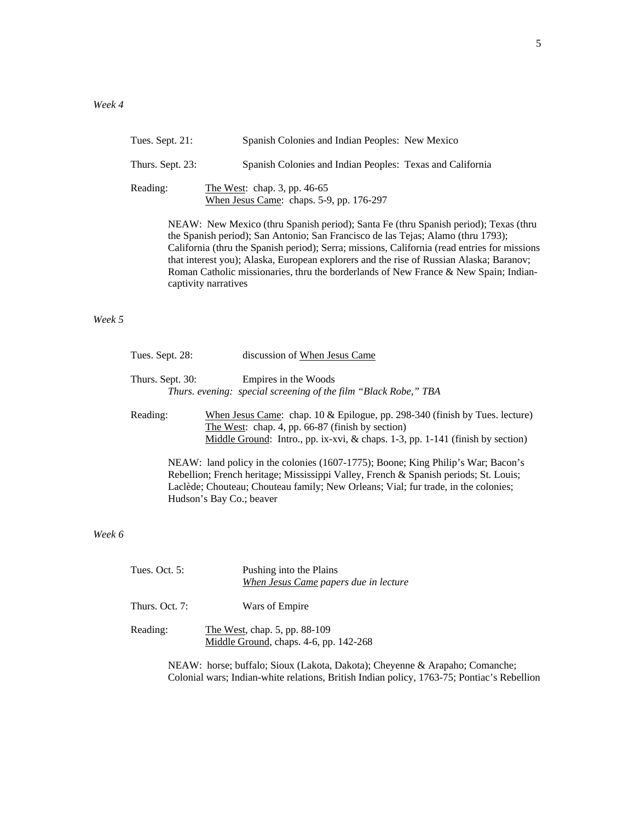| Tues. Sept. $21$ : | Spanish Colonies and Indian Peoples: New Mexico                                     |
|--------------------|-------------------------------------------------------------------------------------|
| Thurs. Sept. 23:   | Spanish Colonies and Indian Peoples: Texas and California                           |
| Reading:           | The West: chap. 3, pp. $46-65$<br>When Jesus Came: chaps. $5-9$ , pp. $176-297$     |
|                    | NEAW: New Mexico (thru Spanish period); Santa Fe (thru Spanish period); Texas (thru |

the Spanish period); San Antonio; San Francisco de las Tejas; Alamo (thru 1793); California (thru the Spanish period); Serra; missions, California (read entries for missions that interest you); Alaska, European explorers and the rise of Russian Alaska; Baranov; Roman Catholic missionaries, thru the borderlands of New France & New Spain; Indiancaptivity narratives

# *Week 5*

| Tues. Sept. 28:  | discussion of When Jesus Came                                                                                                                                                                                                                                  |
|------------------|----------------------------------------------------------------------------------------------------------------------------------------------------------------------------------------------------------------------------------------------------------------|
| Thurs. Sept. 30: | Empires in the Woods<br>Thurs. evening: special screening of the film "Black Robe," TBA                                                                                                                                                                        |
| Reading:         | When Jesus Came: chap. $10 \&$ Epilogue, pp. 298-340 (finish by Tues. lecture)<br>The West: chap. 4, pp. 66-87 (finish by section)<br>Middle Ground: Intro., pp. ix-xvi, & chaps. 1-3, pp. 1-141 (finish by section)                                           |
|                  | NEAW: land policy in the colonies (1607-1775); Boone; King Philip's War; Bacon's<br>Rebellion; French heritage; Mississippi Valley, French & Spanish periods; St. Louis;<br>Laclède; Chouteau; Chouteau family; New Orleans; Vial; fur trade, in the colonies; |

## *Week 6*

| Tues. Oct. $5:$  | Pushing into the Plains<br>When Jesus Came papers due in lecture        |
|------------------|-------------------------------------------------------------------------|
| Thurs. Oct. $7:$ | Wars of Empire                                                          |
| Reading:         | The West, chap. 5, pp. 88-109<br>Middle Ground, chaps. 4-6, pp. 142-268 |

Hudson's Bay Co.; beaver

NEAW: horse; buffalo; Sioux (Lakota, Dakota); Cheyenne & Arapaho; Comanche; Colonial wars; Indian-white relations, British Indian policy, 1763-75; Pontiac's Rebellion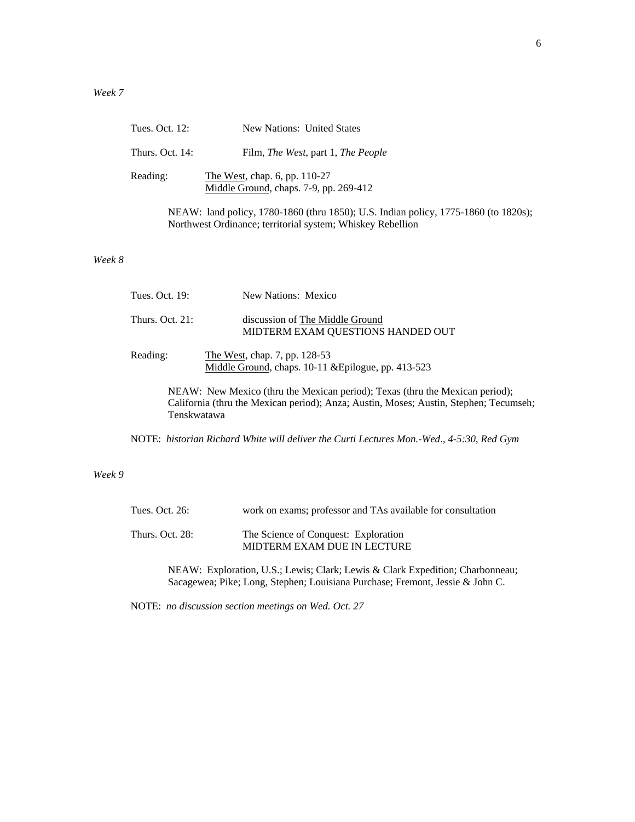|        | Tues. Oct. 12:  | <b>New Nations: United States</b>                                                                                                                 |
|--------|-----------------|---------------------------------------------------------------------------------------------------------------------------------------------------|
|        | Thurs. Oct. 14: | Film, <i>The West</i> , part 1, <i>The People</i>                                                                                                 |
|        | Reading:        | The West, chap. 6, pp. 110-27<br>Middle Ground, chaps. 7-9, pp. 269-412                                                                           |
|        |                 | NEAW: land policy, 1780-1860 (thru 1850); U.S. Indian policy, 1775-1860 (to 1820s);<br>Northwest Ordinance; territorial system; Whiskey Rebellion |
| Week 8 |                 |                                                                                                                                                   |

| Tues. Oct. 19:  | New Nations: Mexico                                                                                                                                                   |
|-----------------|-----------------------------------------------------------------------------------------------------------------------------------------------------------------------|
| Thurs. Oct. 21: | discussion of The Middle Ground<br>MIDTERM EXAM QUESTIONS HANDED OUT                                                                                                  |
| Reading:        | The West, chap. 7, pp. 128-53<br>Middle Ground, chaps. 10-11 & Epilogue, pp. 413-523                                                                                  |
| Tenskwatawa     | NEAW: New Mexico (thru the Mexican period); Texas (thru the Mexican period);<br>California (thru the Mexican period); Anza; Austin, Moses; Austin, Stephen; Tecumseh; |

NOTE: *historian Richard White will deliver the Curti Lectures Mon.-Wed., 4-5:30, Red Gym* 

# *Week 9*

| Tues. Oct. 26:  | work on exams; professor and TAs available for consultation         |
|-----------------|---------------------------------------------------------------------|
| Thurs. Oct. 28: | The Science of Conquest: Exploration<br>MIDTERM EXAM DUE IN LECTURE |

NEAW: Exploration, U.S.; Lewis; Clark; Lewis & Clark Expedition; Charbonneau; Sacagewea; Pike; Long, Stephen; Louisiana Purchase; Fremont, Jessie & John C.

NOTE: *no discussion section meetings on Wed. Oct. 27*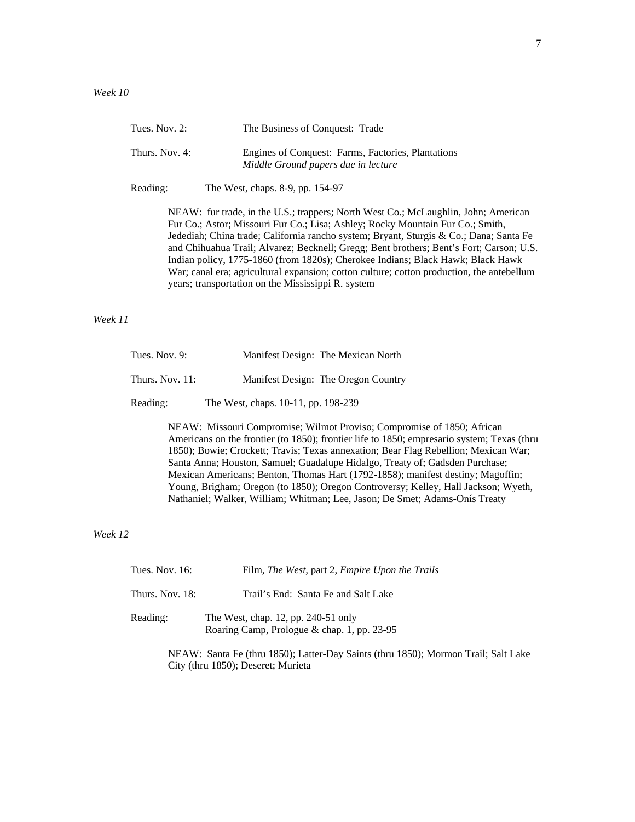| Tues. Nov. $2$ : | The Business of Conquest: Trade                                                           |
|------------------|-------------------------------------------------------------------------------------------|
| Thurs. Nov. 4:   | Engines of Conquest: Farms, Factories, Plantations<br>Middle Ground papers due in lecture |
| Reading:         | The West, chaps. 8-9, pp. 154-97                                                          |
|                  | NEAW: fur trade, in the U.S.; trappers; North West Co.; McLaughlin, John; American        |
|                  | Fur Co.; Astor; Missouri Fur Co.; Lisa; Ashley; Rocky Mountain Fur Co.; Smith,            |
|                  | Jedediah; China trade; California rancho system; Bryant, Sturgis & Co.; Dana; Santa Fe    |
|                  | and Chihuahua Trail; Alvarez; Becknell; Gregg; Bent brothers; Bent's Fort; Carson; U.S.   |
|                  | Indian policy, 1775-1860 (from 1820s); Cherokee Indians; Black Hawk; Black Hawk           |

War; canal era; agricultural expansion; cotton culture; cotton production, the antebellum

*Week 11*

| Tues. Nov. $9:$    | Manifest Design: The Mexican North  |
|--------------------|-------------------------------------|
| Thurs. Nov. $11$ : | Manifest Design: The Oregon Country |
| Reading:           | The West, chaps. 10-11, pp. 198-239 |

years; transportation on the Mississippi R. system

NEAW: Missouri Compromise; Wilmot Proviso; Compromise of 1850; African Americans on the frontier (to 1850); frontier life to 1850; empresario system; Texas (thru 1850); Bowie; Crockett; Travis; Texas annexation; Bear Flag Rebellion; Mexican War; Santa Anna; Houston, Samuel; Guadalupe Hidalgo, Treaty of; Gadsden Purchase; Mexican Americans; Benton, Thomas Hart (1792-1858); manifest destiny; Magoffin; Young, Brigham; Oregon (to 1850); Oregon Controversy; Kelley, Hall Jackson; Wyeth, Nathaniel; Walker, William; Whitman; Lee, Jason; De Smet; Adams-Onís Treaty

*Week 12*

| Tues. Nov. $16$ : | Film, The West, part 2, Empire Upon the Trails                                     |
|-------------------|------------------------------------------------------------------------------------|
| Thurs. Nov. 18:   | Trail's End: Santa Fe and Salt Lake                                                |
| Reading:          | The West, chap. 12, pp. 240-51 only<br>Roaring Camp, Prologue & chap. 1, pp. 23-95 |

NEAW: Santa Fe (thru 1850); Latter-Day Saints (thru 1850); Mormon Trail; Salt Lake City (thru 1850); Deseret; Murieta